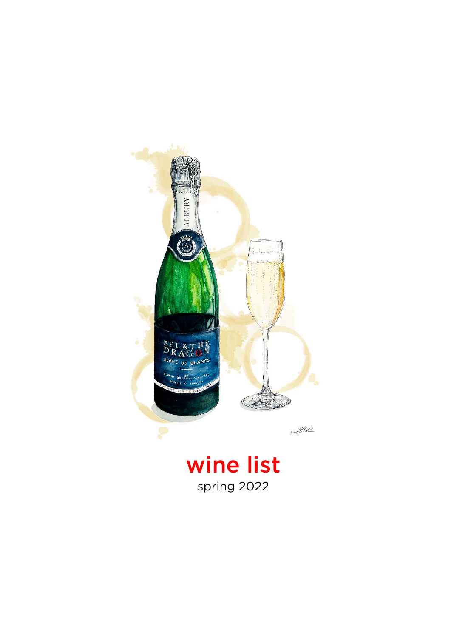

wine list spring 2022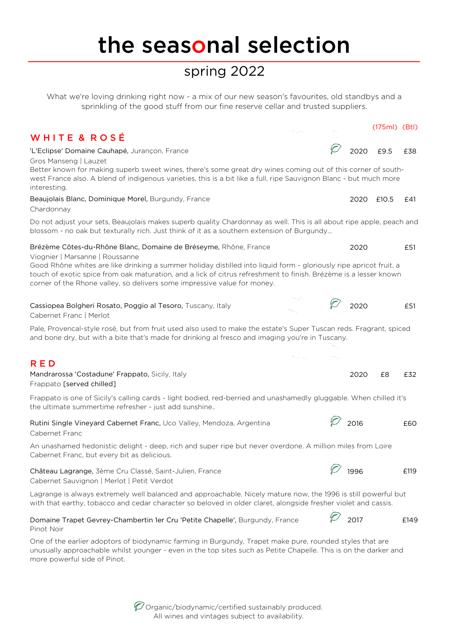## the seasonal selection

### spring 2022

What we're loving drinking right now - a mix of our new season's favourites, old standbys and a sprinkling of the good stuff from our fine reserve cellar and trusted suppliers.

(175ml) (Btl)

#### WHITE & ROSÉ

'L'Eclipse' Domaine Cauhapé, Jurançon, France 2020  $\mathbb{Z}/2020$  £9.5 £38 Gros Manseng | Lauzet Beaujolais Blanc, Dominique Morel, Burgundy, France 2020 2020 £10.5 £41 Chardonnay Brézème Côtes-du-Rhône Blanc, Domaine de Bréseyme, Rhône, France 2020 2020 £51 Viognier | Marsanne | Roussanne Cassiopea Bolgheri Rosato, Poggio al Tesoro, Tuscany, Italy 2012 2020  $\mathbb{Z}^2$  2020 £51 Cabernet Franc | Merlot R E D Mandrarossa 'Costadune' Frappato, Sicily, Italy 2020 £8 £32 Frappato [served chilled] Rutini Single Vineyard Cabernet Franc, Uco Valley, Mendoza, Argentina  $\overline{\varphi}$  2016  $\overline{\varphi}$  2016  $\overline{\varphi}$  2016 Cabernet Franc Château Lagrange, 3ème Cru Classé, Saint-Julien, France  $\overline{\varphi}$  1996  $\overline{\varphi}$  1996  $\overline{\varphi}$  £119 Cabernet Sauvignon | Merlot | Petit Verdot Good Rhône whites are like drinking a summer holiday distilled into liquid form - gloriously ripe apricot fruit, a touch of exotic spice from oak maturation, and a lick of citrus refreshment to finish. Brézème is a lesser known corner of the Rhone valley, so delivers some impressive value for money. Frappato is one of Sicily's calling cards - light bodied, red-berried and unashamedly gluggable. When chilled it's the ultimate summertime refresher - just add sunshine.. Pale, Provencal-style rosé, but from fruit used also used to make the estate's Super Tuscan reds. Fragrant, spiced and bone dry, but with a bite that's made for drinking al fresco and imaging you're in Tuscany. Lagrange is always extremely well balanced and approachable. Nicely mature now, the 1996 is still powerful but with that earthy, tobacco and cedar character so beloved in older claret, alongside fresher violet and cassis. Better known for making superb sweet wines, there's some great dry wines coming out of this corner of southwest France also. A blend of indigenous varieties, this is a bit like a full, ripe Sauvignon Blanc - but much more interesting. Do not adjust your sets, Beaujolais makes superb quality Chardonnay as well. This is all about ripe apple, peach and blossom - no oak but texturally rich. Just think of it as a southern extension of Burgundy... An unashamed hedonistic delight - deep, rich and super ripe but never overdone. A million miles from Loire Cabernet Franc, but every bit as delicious.

#### Domaine Trapet Gevrey-Chambertin 1er Cru 'Petite Chapelle', Burgundy, France  $\begin{matrix} 2 \ 2017 \end{matrix}$  2017 £149 Pinot Noir

One of the earlier adoptors of biodynamic farming in Burgundy, Trapet make pure, rounded styles that are unusually approachable whilst younger - even in the top sites such as Petite Chapelle. This is on the darker and more powerful side of Pinot.

> $\mathscr O$  Organic/biodynamic/certified sustainably produced. All wines and vintages subject to availability.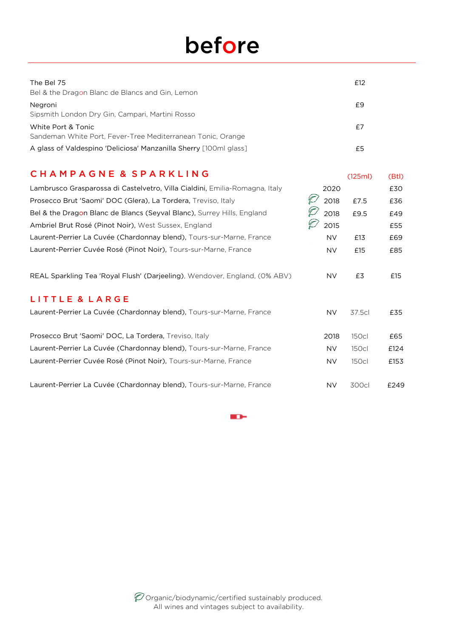# before

| The Bel 75<br>Bel & the Dragon Blanc de Blancs and Gin, Lemon                     | £12 |
|-----------------------------------------------------------------------------------|-----|
| Negroni<br>Sipsmith London Dry Gin, Campari, Martini Rosso                        | £9  |
| White Port & Tonic<br>Sandeman White Port, Fever-Tree Mediterranean Tonic, Orange | £7  |
| A glass of Valdespino 'Deliciosa' Manzanilla Sherry [100ml glass]                 | £5  |

#### C H A M P A G N E & S P A R K L I N G (125ml) (Btl)

| Lambrusco Grasparossa di Castelvetro, Villa Cialdini, Emilia-Romagna, Italy | 2020      |              | £30  |
|-----------------------------------------------------------------------------|-----------|--------------|------|
| Prosecco Brut 'Saomi' DOC (Glera), La Tordera, Treviso, Italy               | 2018      | £7.5         | £36  |
| Bel & the Dragon Blanc de Blancs (Seyval Blanc), Surrey Hills, England      | 2018      | £9.5         | £49  |
| Ambriel Brut Rosé (Pinot Noir), West Sussex, England                        | 2015      |              | £55  |
| Laurent-Perrier La Cuvée (Chardonnay blend), Tours-sur-Marne, France        | <b>NV</b> | £13          | £69  |
| Laurent-Perrier Cuvée Rosé (Pinot Noir), Tours-sur-Marne, France            | <b>NV</b> | £15          | £85  |
| REAL Sparkling Tea 'Royal Flush' (Darjeeling), Wendover, England, (0% ABV)  | NV.       | £3           | £15  |
| LITTLE & LARGE                                                              |           |              |      |
| Laurent-Perrier La Cuvée (Chardonnay blend), Tours-sur-Marne, France        | <b>NV</b> | 37.5cl       | £35  |
|                                                                             |           |              |      |
| Prosecco Brut 'Saomi' DOC, La Tordera, Treviso, Italy                       | 2018      | <b>150cl</b> | £65  |
| Laurent-Perrier La Cuvée (Chardonnay blend), Tours-sur-Marne, France        | NV.       | <b>150cl</b> | £124 |
| Laurent-Perrier Cuvée Rosé (Pinot Noir), Tours-sur-Marne, France            | NV.       | <b>150cl</b> | £153 |
|                                                                             |           |              |      |
| Laurent-Perrier La Cuvée (Chardonnay blend), Tours-sur-Marne, France        | NV.       | 300cl        | £249 |

**KD-**

 $\mathscr D$  Organic/biodynamic/certified sustainably produced. All wines and vintages subject to availability.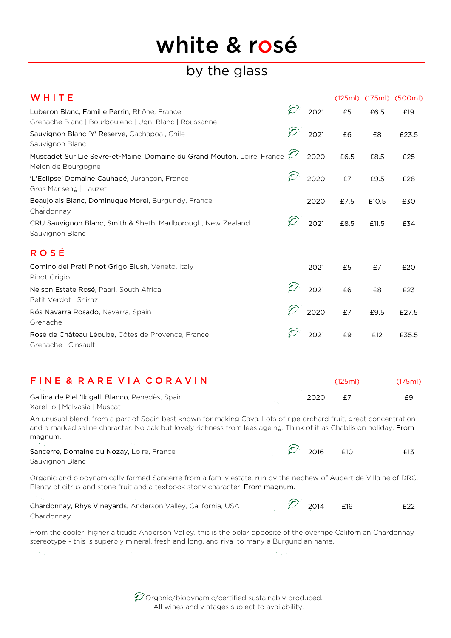# white & rosé

### by the glass

| WHITE                                                                                                 |      |      |       | (125ml) (175ml) (500ml) |
|-------------------------------------------------------------------------------------------------------|------|------|-------|-------------------------|
| Luberon Blanc, Famille Perrin, Rhône, France<br>Grenache Blanc   Bourboulenc   Ugni Blanc   Roussanne | 2021 | £5   | £6.5  | £19                     |
| Sauvignon Blanc 'Y' Reserve, Cachapoal, Chile<br>Sauvignon Blanc                                      | 2021 | £6   | £8    | £23.5                   |
| Muscadet Sur Lie Sèvre-et-Maine, Domaine du Grand Mouton, Loire, France Z<br>Melon de Bourgogne       | 2020 | £6.5 | £8.5  | £25                     |
| 'L'Eclipse' Domaine Cauhapé, Jurançon, France<br>Gros Manseng   Lauzet                                | 2020 | £7   | £9.5  | £28                     |
| Beaujolais Blanc, Dominuque Morel, Burgundy, France<br>Chardonnay                                     | 2020 | £7.5 | £10.5 | £30                     |
| CRU Sauvignon Blanc, Smith & Sheth, Marlborough, New Zealand<br>Sauvignon Blanc                       | 2021 | £8.5 | £11.5 | £34                     |
| <b>ROSÉ</b>                                                                                           |      |      |       |                         |
| Comino dei Prati Pinot Grigo Blush, Veneto, Italy<br>Pinot Grigio                                     | 2021 | £5   | £7    | £20                     |
| Nelson Estate Rosé, Paarl, South Africa<br>Petit Verdot   Shiraz                                      | 2021 | £6   | £8    | £23                     |
| Rós Navarra Rosado, Navarra, Spain<br>Grenache                                                        | 2020 | £7   | £9.5  | £27.5                   |
| Rosé de Château Léoube, Côtes de Provence, France<br>Grenache   Cinsault                              | 2021 | £9   | £12   | £35.5                   |
|                                                                                                       |      |      |       |                         |

| FINE & RARE VIA CORAVIN                          |      | (125m) | (175ml) |
|--------------------------------------------------|------|--------|---------|
| Gallina de Piel 'Ikigall' Blanco, Penedès, Spain | 2020 |        | £9      |
| Xarel-lo   Malvasia   Muscat                     |      |        |         |

An unusual blend, from a part of Spain best known for making Cava. Lots of ripe orchard fruit, great concentration and a marked saline character. No oak but lovely richness from lees ageing. Think of it as Chablis on holiday. From magnum.

| Sancerre, Domaine du Nozay, Loire, France |  | 2016 | £10 | £13 |
|-------------------------------------------|--|------|-----|-----|
| Sauvignon Blanc                           |  |      |     |     |

Organic and biodynamically farmed Sancerre from a family estate, run by the nephew of Aubert de Villaine of DRC. Plenty of citrus and stone fruit and a textbook stony character. From magnum.

 $\sim$ 

| Chardonnay, Rhys Vineyards, Anderson Valley, California, USA |  | 2014 | £22 |
|--------------------------------------------------------------|--|------|-----|
| Chardonnay                                                   |  |      |     |

From the cooler, higher altitude Anderson Valley, this is the polar opposite of the overripe Californian Chardonnay stereotype - this is superbly mineral, fresh and long, and rival to many a Burgundian name.

> $\mathscr O$  Organic/biodynamic/certified sustainably produced. All wines and vintages subject to availability.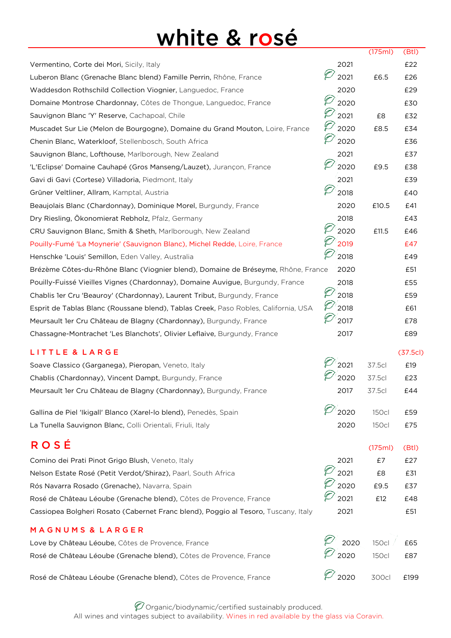## white & rosé

|                                                                                     |                   | (175ml)      | (Btl)   |
|-------------------------------------------------------------------------------------|-------------------|--------------|---------|
| Vermentino, Corte dei Mori, Sicily, Italy                                           | 2021              |              | £22     |
| Luberon Blanc (Grenache Blanc blend) Famille Perrin, Rhône, France                  | 2021              | £6.5         | £26     |
| Waddesdon Rothschild Collection Viognier, Languedoc, France                         | 2020              |              | £29     |
| Domaine Montrose Chardonnay, Côtes de Thongue, Languedoc, France                    | 2020              |              | £30     |
| Sauvignon Blanc 'Y' Reserve, Cachapoal, Chile                                       | 2021              | £8           | £32     |
| Muscadet Sur Lie (Melon de Bourgogne), Domaine du Grand Mouton, Loire, France       | 2020              | £8.5         | £34     |
| Chenin Blanc, Waterkloof, Stellenbosch, South Africa                                | D<br>2020         |              | £36     |
| Sauvignon Blanc, Lofthouse, Marlborough, New Zealand                                | 2021              |              | £37     |
| 'L'Eclipse' Domaine Cauhapé (Gros Manseng/Lauzet), Jurançon, France                 | 2020              | £9.5         | £38     |
| Gavi di Gavi (Cortese) Villadoria, Piedmont, Italy                                  | 2021              |              | £39     |
| Grüner Veltliner, Allram, Kamptal, Austria                                          | 2018              |              | £40     |
| Beaujolais Blanc (Chardonnay), Dominique Morel, Burgundy, France                    | 2020              | £10.5        | £41     |
| Dry Riesling, Ökonomierat Rebholz, Pfalz, Germany                                   | 2018              |              | £43     |
| CRU Sauvignon Blanc, Smith & Sheth, Marlborough, New Zealand                        | 2020              | £11.5        | £46     |
| Pouilly-Fumé 'La Moynerie' (Sauvignon Blanc), Michel Redde, Loire, France           | 2019              |              | £47     |
| Henschke 'Louis' Semillon, Eden Valley, Australia                                   | 2018              |              | £49     |
| Brézème Côtes-du-Rhône Blanc (Viognier blend), Domaine de Bréseyme, Rhône, France   | 2020              |              | £51     |
| Pouilly-Fuissé Vieilles Vignes (Chardonnay), Domaine Auvigue, Burgundy, France      | 2018              |              | £55     |
| Chablis 1er Cru 'Beauroy' (Chardonnay), Laurent Tribut, Burgundy, France            | $\varphi$<br>2018 |              | £59     |
| Esprit de Tablas Blanc (Roussane blend), Tablas Creek, Paso Robles, California, USA | 2018              |              | £61     |
| Meursault 1er Cru Château de Blagny (Chardonnay), Burgundy, France                  | 2017              |              | £78     |
| Chassagne-Montrachet 'Les Blanchots', Olivier Leflaive, Burgundy, France            | 2017              |              | £89     |
| LITTLE & LARGE                                                                      |                   |              | (37.5c) |
| Soave Classico (Garganega), Pieropan, Veneto, Italy                                 | 2021              | 37.5cl       | £19     |
| Chablis (Chardonnay), Vincent Dampt, Burgundy, France                               | 2020              | 37.5cl       | £23     |
| Meursault 1er Cru Château de Blagny (Chardonnay), Burgundy, France                  | 2017              | 37.5cl       | £44     |
| Gallina de Piel 'Ikigall' Blanco (Xarel-lo blend), Penedès, Spain                   | 2020              | <b>150cl</b> | £59     |
| La Tunella Sauvignon Blanc, Colli Orientali, Friuli, Italy                          | 2020              | <b>150cl</b> | £75     |
|                                                                                     |                   |              |         |
| <b>ROSÉ</b>                                                                         |                   | (175ml)      | (Btl)   |
| Comino dei Prati Pinot Grigo Blush, Veneto, Italy                                   | 2021              | £7           | £27     |
| Nelson Estate Rosé (Petit Verdot/Shiraz), Paarl, South Africa                       | 2021              | £8           | £31     |
| Rós Navarra Rosado (Grenache), Navarra, Spain                                       | 2020              | £9.5         | £37     |
| Rosé de Château Léoube (Grenache blend), Côtes de Provence, France                  | 2021              | £12          | £48     |
| Cassiopea Bolgheri Rosato (Cabernet Franc blend), Poggio al Tesoro, Tuscany, Italy  | 2021              |              | £51     |
| MAGNUMS & LARGER                                                                    |                   |              |         |
| Love by Château Léoube, Côtes de Provence, France                                   | 2020              | <b>150cl</b> | £65     |
| Rosé de Château Léoube (Grenache blend), Côtes de Provence, France                  | 2020              | <b>150cl</b> | £87     |
| Rosé de Château Léoube (Grenache blend), Côtes de Provence, France                  | 2020              | 300cl        | £199    |

 $\mathscr O$  Organic/biodynamic/certified sustainably produced. All wines and vintages subject to availability. Wines in red available by the glass via Coravin.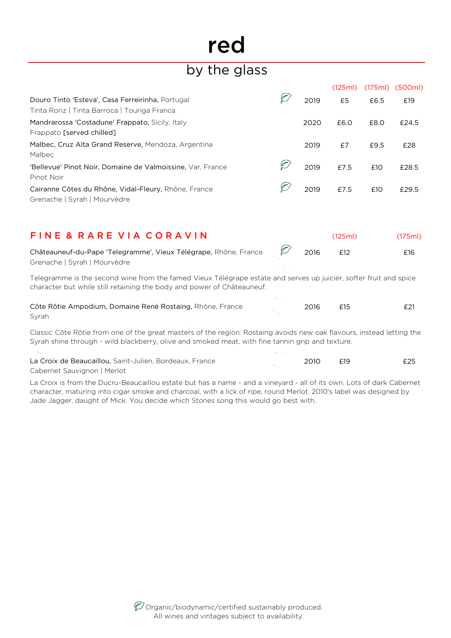# red

### by the glass

|                                                            |      | (125ml) |      | (175ml) (500ml) |
|------------------------------------------------------------|------|---------|------|-----------------|
| Douro Tinto 'Esteva', Casa Ferreirinha, Portugal           | 2019 | £5      | £6.5 | £19             |
| Tinta Roriz   Tinta Barroca   Touriga Franca               |      |         |      |                 |
| Mandrarossa 'Costadune' Frappato, Sicily, Italy            | 2020 | £6.0    | £8.0 | £24.5           |
| Frappato [served chilled]                                  |      |         |      |                 |
| Malbec, Cruz Alta Grand Reserve, Mendoza, Argentina        | 2019 | £7      | £9.5 | £28             |
| Malbec                                                     |      |         |      |                 |
| 'Bellevue' Pinot Noir, Domaine de Valmoissine, Var, France | 2019 | £7.5    | £10  | £28.5           |
| Pinot Noir                                                 |      |         |      |                 |
| Cairanne Côtes du Rhône, Vidal-Fleury, Rhône, France       | 2019 | £7.5    | £10  | £29.5           |
| Grenache   Syrah   Mourvèdre                               |      |         |      |                 |

| FINE & RARE VIA CORAVIN                                                |  | (125m) | (175ml) |
|------------------------------------------------------------------------|--|--------|---------|
| Châteauneuf-du-Pape 'Telegramme', Vieux Télégrape, Rhône, France (2016 |  | F12    | £16     |
| Grenache   Syrah   Mourvèdre                                           |  |        |         |

Telegramme is the second wine from the famed Vieux Télégrape estate and serves up juicier, softer fruit and spice character but while still retaining the body and power of Châteauneuf.

| Côte Rôtie Ampodium, Domaine René Rostaing, Rhône, France | 2016 | E21 |
|-----------------------------------------------------------|------|-----|
| Syrah                                                     |      |     |

Classic Côte Rôtie from one of the great masters of the region. Rostaing avoids new oak flavours, instead letting the Syrah shine through - wild blackberry, olive and smoked meat, with fine tannin grip and texture.

La Croix de Beaucaillou, Saint-Julien, Bordeaux, France 2010 **2010** £19 **£25** Cabernet Sauvignon | Merlot

La Croix is from the Ducru-Beaucaillou estate but has a name - and a vineyard - all of its own. Lots of dark Cabernet character, maturing into cigar smoke and charcoal, with a lick of ripe, round Merlot. 2010's label was designed by Jade Jagger, daught of Mick. You decide which Stones song this would go best with.

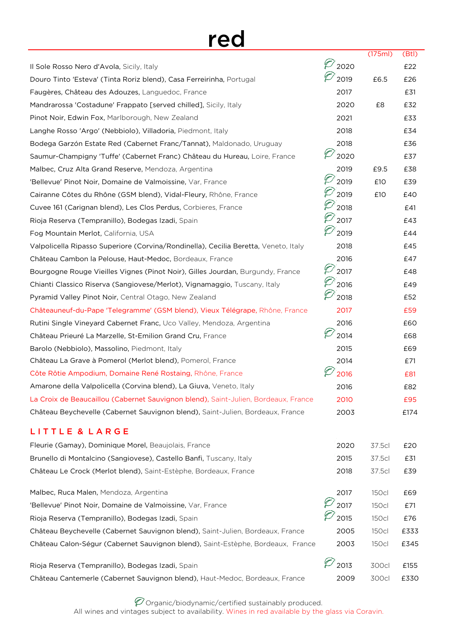## red

|                                                                                     |                               | (175ml)      | (Btl) |
|-------------------------------------------------------------------------------------|-------------------------------|--------------|-------|
| Il Sole Rosso Nero d'Avola, Sicily, Italy                                           | 2020                          |              | £22   |
| Douro Tinto 'Esteva' (Tinta Roriz blend), Casa Ferreirinha, Portugal                | 2019                          | £6.5         | £26   |
| Faugères, Château des Adouzes, Languedoc, France                                    | 2017                          |              | £31   |
| Mandrarossa 'Costadune' Frappato [served chilled], Sicily, Italy                    | 2020                          | £8           | £32   |
| Pinot Noir, Edwin Fox, Marlborough, New Zealand                                     | 2021                          |              | £33   |
| Langhe Rosso 'Argo' (Nebbiolo), Villadoria, Piedmont, Italy                         | 2018                          |              | £34   |
| Bodega Garzón Estate Red (Cabernet Franc/Tannat), Maldonado, Uruguay                | 2018                          |              | £36   |
| Saumur-Champigny 'Tuffe' (Cabernet Franc) Château du Hureau, Loire, France          | 2020                          |              | £37   |
| Malbec, Cruz Alta Grand Reserve, Mendoza, Argentina                                 | 2019                          | £9.5         | £38   |
| 'Bellevue' Pinot Noir, Domaine de Valmoissine, Var, France                          | 2019                          | £10          | £39   |
| Cairanne Côtes du Rhône (GSM blend), Vidal-Fleury, Rhône, France                    | 2019                          | £10          | £40   |
| Cuvee 161 (Carignan blend), Les Clos Perdus, Corbieres, France                      | 2018                          |              | £41   |
| Rioja Reserva (Tempranillo), Bodegas Izadi, Spain                                   | 2017                          |              | £43   |
| Fog Mountain Merlot, California, USA                                                | 2019                          |              | £44   |
| Valpolicella Ripasso Superiore (Corvina/Rondinella), Cecilia Beretta, Veneto, Italy | 2018                          |              | £45   |
| Château Cambon la Pelouse, Haut-Medoc, Bordeaux, France                             | 2016                          |              | £47   |
| Bourgogne Rouge Vieilles Vignes (Pinot Noir), Gilles Jourdan, Burgundy, France      | 2017                          |              | £48   |
| Chianti Classico Riserva (Sangiovese/Merlot), Vignamaggio, Tuscany, Italy           | 2016                          |              | £49   |
| Pyramid Valley Pinot Noir, Central Otago, New Zealand                               | 2018                          |              | £52   |
| Châteauneuf-du-Pape 'Telegramme' (GSM blend), Vieux Télégrape, Rhône, France        | 2017                          |              | £59   |
| Rutini Single Vineyard Cabernet Franc, Uco Valley, Mendoza, Argentina               | 2016                          |              | £60   |
| Château Prieuré La Marzelle, St-Emilion Grand Cru, France                           | 2014                          |              | £68   |
| Barolo (Nebbiolo), Massolino, Piedmont, Italy                                       | 2015                          |              | £69   |
| Château La Grave à Pomerol (Merlot blend), Pomerol, France                          | 2014                          |              | £71   |
| Côte Rôtie Ampodium, Domaine René Rostaing, Rhône, France                           | 2016                          |              | £81   |
| Amarone della Valpolicella (Corvina blend), La Giuva, Veneto, Italy                 | 2016                          |              | £82   |
| La Croix de Beaucaillou (Cabernet Sauvignon blend), Saint-Julien, Bordeaux, France  | 2010                          |              | £95   |
| Château Beychevelle (Cabernet Sauvignon blend), Saint-Julien, Bordeaux, France      | 2003                          |              | £174  |
| LITTLE & LARGE                                                                      |                               |              |       |
| Fleurie (Gamay), Dominique Morel, Beaujolais, France                                | 2020                          | 37.5cl       | £20   |
| Brunello di Montalcino (Sangiovese), Castello Banfi, Tuscany, Italy                 | 2015                          | 37.5cl       | £31   |
| Château Le Crock (Merlot blend), Saint-Estèphe, Bordeaux, France                    | 2018                          | 37.5cl       | £39   |
| Malbec, Ruca Malen, Mendoza, Argentina                                              | 2017                          | 150cl        | £69   |
| 'Bellevue' Pinot Noir, Domaine de Valmoissine, Var, France                          | 2017                          | <b>150cl</b> | £71   |
| Rioja Reserva (Tempranillo), Bodegas Izadi, Spain                                   | 2015                          | <b>150cl</b> | £76   |
| Château Beychevelle (Cabernet Sauvignon blend), Saint-Julien, Bordeaux, France      | 2005                          | 150cl        | £333  |
| Château Calon-Ségur (Cabernet Sauvignon blend), Saint-Estèphe, Bordeaux, France     | 2003                          | 150cl        | £345  |
| Rioja Reserva (Tempranillo), Bodegas Izadi, Spain                                   | $\varnothing$ <sub>2013</sub> | 300cl        | £155  |
| Château Cantemerle (Cabernet Sauvignon blend), Haut-Medoc, Bordeaux, France         | 2009                          | 300cl        | £330  |

Organic/biodynamic/certified sustainably produced. All wines and vintages subject to availability. Wines in red available by the glass via Coravin.